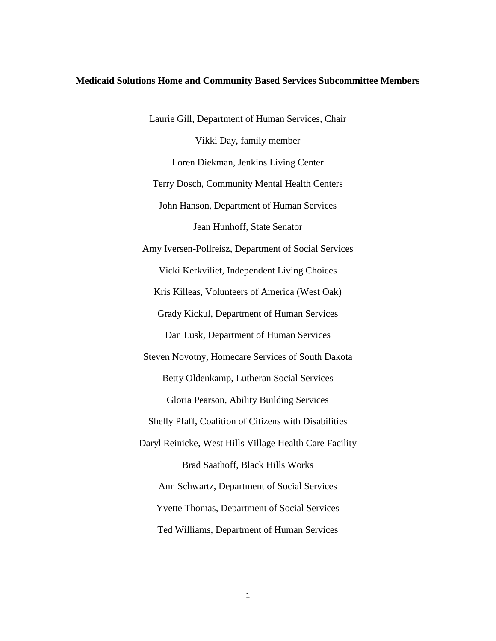#### **Medicaid Solutions Home and Community Based Services Subcommittee Members**

Laurie Gill, Department of Human Services, Chair Vikki Day, family member Loren Diekman, Jenkins Living Center Terry Dosch, Community Mental Health Centers John Hanson, Department of Human Services Jean Hunhoff, State Senator Amy Iversen-Pollreisz, Department of Social Services Vicki Kerkviliet, Independent Living Choices Kris Killeas, Volunteers of America (West Oak) Grady Kickul, Department of Human Services Dan Lusk, Department of Human Services Steven Novotny, Homecare Services of South Dakota Betty Oldenkamp, Lutheran Social Services Gloria Pearson, Ability Building Services Shelly Pfaff, Coalition of Citizens with Disabilities Daryl Reinicke, West Hills Village Health Care Facility Brad Saathoff, Black Hills Works Ann Schwartz, Department of Social Services Yvette Thomas, Department of Social Services Ted Williams, Department of Human Services

1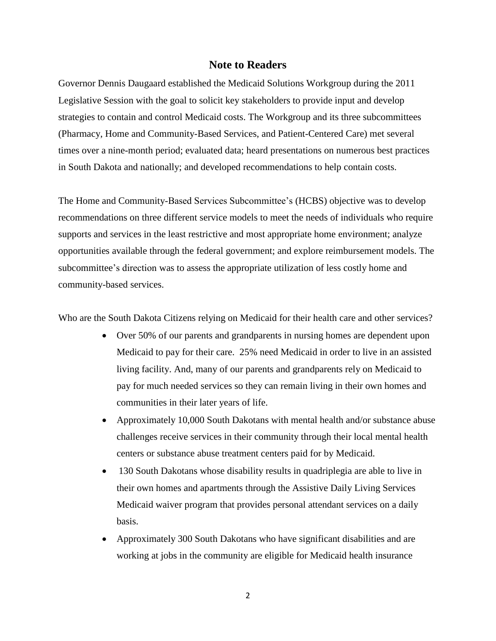#### **Note to Readers**

Governor Dennis Daugaard established the Medicaid Solutions Workgroup during the 2011 Legislative Session with the goal to solicit key stakeholders to provide input and develop strategies to contain and control Medicaid costs. The Workgroup and its three subcommittees (Pharmacy, Home and Community-Based Services, and Patient-Centered Care) met several times over a nine-month period; evaluated data; heard presentations on numerous best practices in South Dakota and nationally; and developed recommendations to help contain costs.

The Home and Community-Based Services Subcommittee's (HCBS) objective was to develop recommendations on three different service models to meet the needs of individuals who require supports and services in the least restrictive and most appropriate home environment; analyze opportunities available through the federal government; and explore reimbursement models. The subcommittee's direction was to assess the appropriate utilization of less costly home and community-based services.

Who are the South Dakota Citizens relying on Medicaid for their health care and other services?

- Over 50% of our parents and grandparents in nursing homes are dependent upon Medicaid to pay for their care. 25% need Medicaid in order to live in an assisted living facility. And, many of our parents and grandparents rely on Medicaid to pay for much needed services so they can remain living in their own homes and communities in their later years of life.
- Approximately 10,000 South Dakotans with mental health and/or substance abuse challenges receive services in their community through their local mental health centers or substance abuse treatment centers paid for by Medicaid.
- 130 South Dakotans whose disability results in quadriplegia are able to live in their own homes and apartments through the Assistive Daily Living Services Medicaid waiver program that provides personal attendant services on a daily basis.
- Approximately 300 South Dakotans who have significant disabilities and are working at jobs in the community are eligible for Medicaid health insurance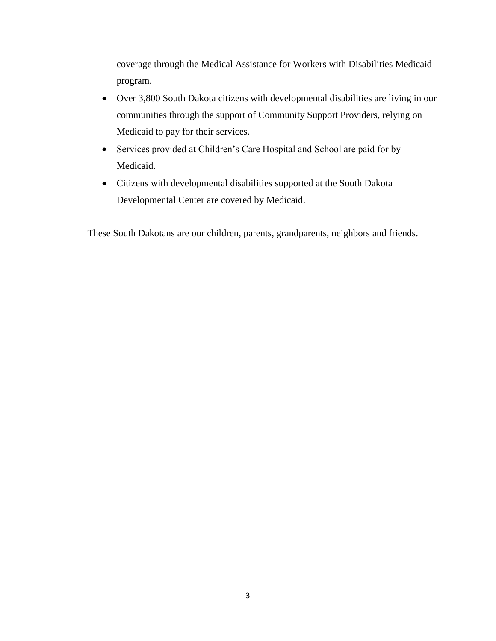coverage through the Medical Assistance for Workers with Disabilities Medicaid program.

- Over 3,800 South Dakota citizens with developmental disabilities are living in our communities through the support of Community Support Providers, relying on Medicaid to pay for their services.
- Services provided at Children's Care Hospital and School are paid for by Medicaid.
- Citizens with developmental disabilities supported at the South Dakota Developmental Center are covered by Medicaid.

These South Dakotans are our children, parents, grandparents, neighbors and friends.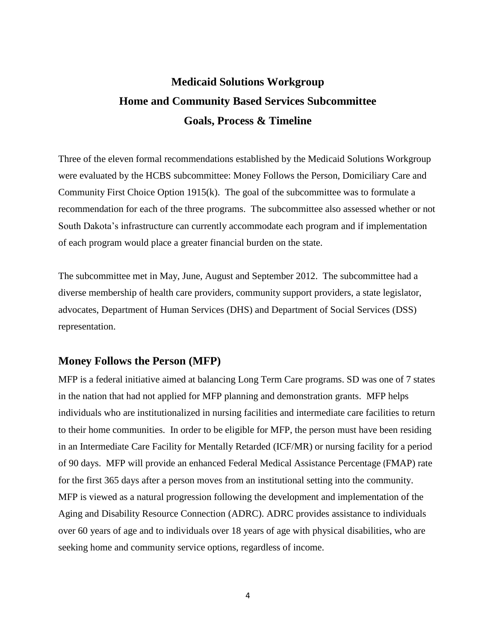# **Medicaid Solutions Workgroup Home and Community Based Services Subcommittee Goals, Process & Timeline**

Three of the eleven formal recommendations established by the Medicaid Solutions Workgroup were evaluated by the HCBS subcommittee: Money Follows the Person, Domiciliary Care and Community First Choice Option 1915(k). The goal of the subcommittee was to formulate a recommendation for each of the three programs. The subcommittee also assessed whether or not South Dakota's infrastructure can currently accommodate each program and if implementation of each program would place a greater financial burden on the state.

The subcommittee met in May, June, August and September 2012. The subcommittee had a diverse membership of health care providers, community support providers, a state legislator, advocates, Department of Human Services (DHS) and Department of Social Services (DSS) representation.

## **Money Follows the Person (MFP)**

MFP is a federal initiative aimed at balancing Long Term Care programs. SD was one of 7 states in the nation that had not applied for MFP planning and demonstration grants. MFP helps individuals who are institutionalized in nursing facilities and intermediate care facilities to return to their home communities. In order to be eligible for MFP, the person must have been residing in an Intermediate Care Facility for Mentally Retarded (ICF/MR) or nursing facility for a period of 90 days. MFP will provide an enhanced Federal Medical Assistance Percentage (FMAP) rate for the first 365 days after a person moves from an institutional setting into the community. MFP is viewed as a natural progression following the development and implementation of the Aging and Disability Resource Connection (ADRC). ADRC provides assistance to individuals over 60 years of age and to individuals over 18 years of age with physical disabilities, who are seeking home and community service options, regardless of income.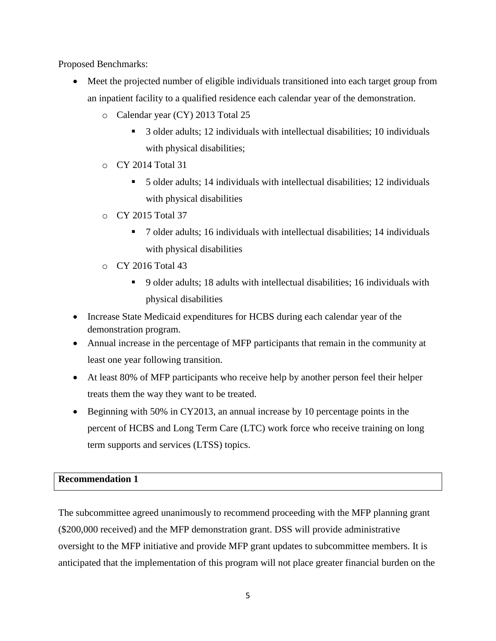Proposed Benchmarks:

- Meet the projected number of eligible individuals transitioned into each target group from an inpatient facility to a qualified residence each calendar year of the demonstration.
	- o Calendar year (CY) 2013 Total 25
		- 3 older adults; 12 individuals with intellectual disabilities; 10 individuals with physical disabilities;
	- o CY 2014 Total 31
		- 5 older adults; 14 individuals with intellectual disabilities; 12 individuals with physical disabilities
	- o CY 2015 Total 37
		- 7 older adults; 16 individuals with intellectual disabilities; 14 individuals with physical disabilities
	- o CY 2016 Total 43
		- 9 older adults; 18 adults with intellectual disabilities; 16 individuals with physical disabilities
- Increase State Medicaid expenditures for HCBS during each calendar year of the demonstration program.
- Annual increase in the percentage of MFP participants that remain in the community at least one year following transition.
- At least 80% of MFP participants who receive help by another person feel their helper treats them the way they want to be treated.
- Beginning with 50% in CY2013, an annual increase by 10 percentage points in the percent of HCBS and Long Term Care (LTC) work force who receive training on long term supports and services (LTSS) topics.

## **Recommendation 1**

The subcommittee agreed unanimously to recommend proceeding with the MFP planning grant (\$200,000 received) and the MFP demonstration grant. DSS will provide administrative oversight to the MFP initiative and provide MFP grant updates to subcommittee members. It is anticipated that the implementation of this program will not place greater financial burden on the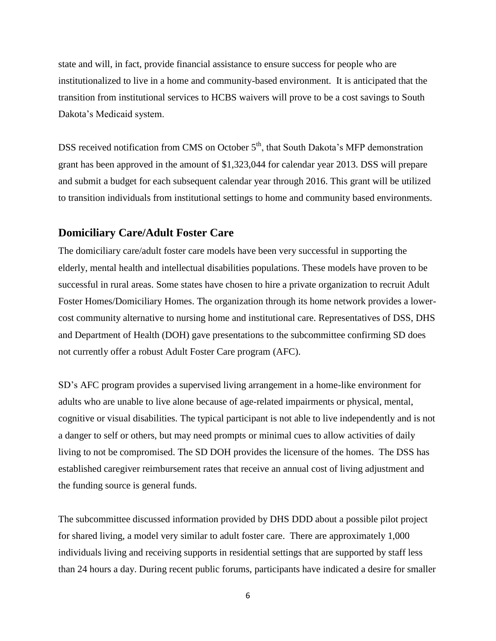state and will, in fact, provide financial assistance to ensure success for people who are institutionalized to live in a home and community-based environment. It is anticipated that the transition from institutional services to HCBS waivers will prove to be a cost savings to South Dakota's Medicaid system.

DSS received notification from CMS on October  $5<sup>th</sup>$ , that South Dakota's MFP demonstration grant has been approved in the amount of \$1,323,044 for calendar year 2013. DSS will prepare and submit a budget for each subsequent calendar year through 2016. This grant will be utilized to transition individuals from institutional settings to home and community based environments.

## **Domiciliary Care/Adult Foster Care**

The domiciliary care/adult foster care models have been very successful in supporting the elderly, mental health and intellectual disabilities populations. These models have proven to be successful in rural areas. Some states have chosen to hire a private organization to recruit Adult Foster Homes/Domiciliary Homes. The organization through its home network provides a lowercost community alternative to nursing home and institutional care. Representatives of DSS, DHS and Department of Health (DOH) gave presentations to the subcommittee confirming SD does not currently offer a robust Adult Foster Care program (AFC).

SD's AFC program provides a supervised living arrangement in a home-like environment for adults who are unable to live alone because of age-related impairments or physical, mental, cognitive or visual disabilities. The typical participant is not able to live independently and is not a danger to self or others, but may need prompts or minimal cues to allow activities of daily living to not be compromised. The SD DOH provides the licensure of the homes. The DSS has established caregiver reimbursement rates that receive an annual cost of living adjustment and the funding source is general funds.

The subcommittee discussed information provided by DHS DDD about a possible pilot project for shared living, a model very similar to adult foster care. There are approximately 1,000 individuals living and receiving supports in residential settings that are supported by staff less than 24 hours a day. During recent public forums, participants have indicated a desire for smaller

6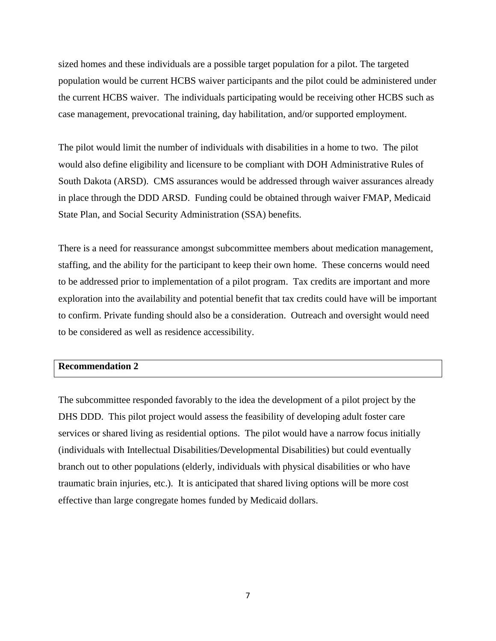sized homes and these individuals are a possible target population for a pilot. The targeted population would be current HCBS waiver participants and the pilot could be administered under the current HCBS waiver. The individuals participating would be receiving other HCBS such as case management, prevocational training, day habilitation, and/or supported employment.

The pilot would limit the number of individuals with disabilities in a home to two. The pilot would also define eligibility and licensure to be compliant with DOH Administrative Rules of South Dakota (ARSD). CMS assurances would be addressed through waiver assurances already in place through the DDD ARSD. Funding could be obtained through waiver FMAP, Medicaid State Plan, and Social Security Administration (SSA) benefits.

There is a need for reassurance amongst subcommittee members about medication management, staffing, and the ability for the participant to keep their own home. These concerns would need to be addressed prior to implementation of a pilot program. Tax credits are important and more exploration into the availability and potential benefit that tax credits could have will be important to confirm. Private funding should also be a consideration. Outreach and oversight would need to be considered as well as residence accessibility.

#### **Recommendation 2**

The subcommittee responded favorably to the idea the development of a pilot project by the DHS DDD. This pilot project would assess the feasibility of developing adult foster care services or shared living as residential options. The pilot would have a narrow focus initially (individuals with Intellectual Disabilities/Developmental Disabilities) but could eventually branch out to other populations (elderly, individuals with physical disabilities or who have traumatic brain injuries, etc.). It is anticipated that shared living options will be more cost effective than large congregate homes funded by Medicaid dollars.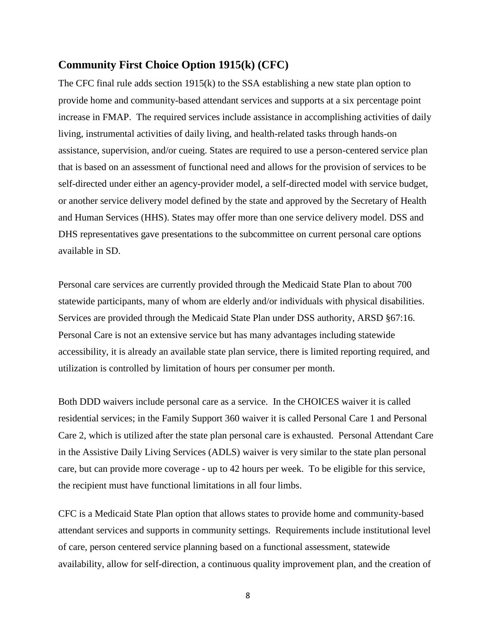#### **Community First Choice Option 1915(k) (CFC)**

The CFC final rule adds section 1915(k) to the SSA establishing a new state plan option to provide home and community-based attendant services and supports at a six percentage point increase in FMAP. The required services include assistance in accomplishing activities of daily living, instrumental activities of daily living, and health-related tasks through hands-on assistance, supervision, and/or cueing. States are required to use a person-centered service plan that is based on an assessment of functional need and allows for the provision of services to be self-directed under either an agency-provider model, a self-directed model with service budget, or another service delivery model defined by the state and approved by the Secretary of Health and Human Services (HHS). States may offer more than one service delivery model. DSS and DHS representatives gave presentations to the subcommittee on current personal care options available in SD.

Personal care services are currently provided through the Medicaid State Plan to about 700 statewide participants, many of whom are elderly and/or individuals with physical disabilities. Services are provided through the Medicaid State Plan under DSS authority, ARSD §67:16. Personal Care is not an extensive service but has many advantages including statewide accessibility, it is already an available state plan service, there is limited reporting required, and utilization is controlled by limitation of hours per consumer per month.

Both DDD waivers include personal care as a service. In the CHOICES waiver it is called residential services; in the Family Support 360 waiver it is called Personal Care 1 and Personal Care 2, which is utilized after the state plan personal care is exhausted. Personal Attendant Care in the Assistive Daily Living Services (ADLS) waiver is very similar to the state plan personal care, but can provide more coverage - up to 42 hours per week. To be eligible for this service, the recipient must have functional limitations in all four limbs.

CFC is a Medicaid State Plan option that allows states to provide home and community-based attendant services and supports in community settings. Requirements include institutional level of care, person centered service planning based on a functional assessment, statewide availability, allow for self-direction, a continuous quality improvement plan, and the creation of

8